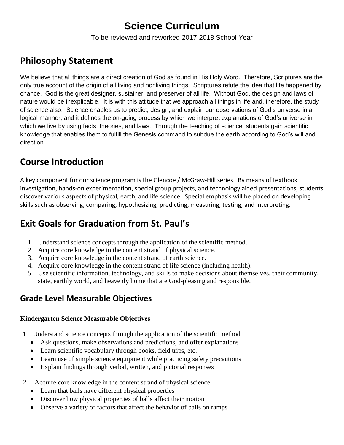# **Science Curriculum**

To be reviewed and reworked 2017-2018 School Year

# **Philosophy Statement**

We believe that all things are a direct creation of God as found in His Holy Word. Therefore, Scriptures are the only true account of the origin of all living and nonliving things. Scriptures refute the idea that life happened by chance. God is the great designer, sustainer, and preserver of all life. Without God, the design and laws of nature would be inexplicable. It is with this attitude that we approach all things in life and, therefore, the study of science also. Science enables us to predict, design, and explain our observations of God's universe in a logical manner, and it defines the on-going process by which we interpret explanations of God's universe in which we live by using facts, theories, and laws. Through the teaching of science, students gain scientific knowledge that enables them to fulfill the Genesis command to subdue the earth according to God's will and direction.

# **Course Introduction**

A key component for our science program is the Glencoe / McGraw-Hill series. By means of textbook investigation, hands-on experimentation, special group projects, and technology aided presentations, students discover various aspects of physical, earth, and life science. Special emphasis will be placed on developing skills such as observing, comparing, hypothesizing, predicting, measuring, testing, and interpreting.

# **Exit Goals for Graduation from St. Paul's**

- 1. Understand science concepts through the application of the scientific method.
- 2. Acquire core knowledge in the content strand of physical science.
- 3. Acquire core knowledge in the content strand of earth science.
- 4. Acquire core knowledge in the content strand of life science (including health).
- 5. Use scientific information, technology, and skills to make decisions about themselves, their community, state, earthly world, and heavenly home that are God-pleasing and responsible.

## **Grade Level Measurable Objectives**

### **Kindergarten Science Measurable Objectives**

- 1. Understand science concepts through the application of the scientific method
	- Ask questions, make observations and predictions, and offer explanations
	- Learn scientific vocabulary through books, field trips, etc.
	- Learn use of simple science equipment while practicing safety precautions
	- Explain findings through verbal, written, and pictorial responses
- 2. Acquire core knowledge in the content strand of physical science
	- Learn that balls have different physical properties
	- Discover how physical properties of balls affect their motion
	- Observe a variety of factors that affect the behavior of balls on ramps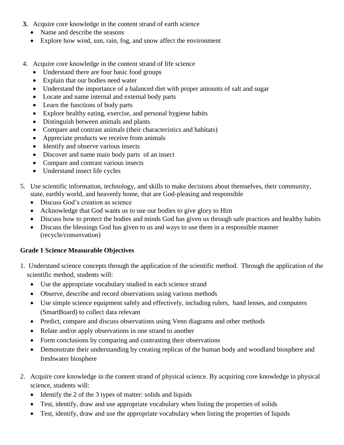- **3.** Acquire core knowledge in the content strand of earth science
	- Name and describe the seasons
	- Explore how wind, sun, rain, fog, and snow affect the environment
- 4. Acquire core knowledge in the content strand of life science
	- Understand there are four basic food groups
	- Explain that our bodies need water
	- Understand the importance of a balanced diet with proper amounts of salt and sugar
	- Locate and name internal and external body parts
	- Learn the functions of body parts
	- Explore healthy eating, exercise, and personal hygiene habits
	- Distinguish between animals and plants
	- Compare and contrast animals (their characteristics and habitats)
	- Appreciate products we receive from animals
	- Identify and observe various insects
	- Discover and name main body parts of an insect
	- Compare and contrast various insects
	- Understand insect life cycles
- 5. Use scientific information, technology, and skills to make decisions about themselves, their community, state, earthly world, and heavenly home, that are God-pleasing and responsible
	- Discuss God's creation as science
	- Acknowledge that God wants us to use our bodies to give glory to Him
	- Discuss how to protect the bodies and minds God has given us through safe practices and healthy habits
	- Discuss the blessings God has given to us and ways to use them in a responsible manner (recycle/conservation)

### **Grade 1 Science Measurable Objectives**

- 1. Understand science concepts through the application of the scientific method. Through the application of the scientific method, students will:
	- Use the appropriate vocabulary studied in each science strand
	- Observe, describe and record observations using various methods
	- Use simple science equipment safely and effectively, including rulers, hand lenses, and computers (SmartBoard) to collect data relevant
	- Predict, compare and discuss observations using Venn diagrams and other methods
	- Relate and/or apply observations in one strand to another
	- Form conclusions by comparing and contrasting their observations
	- Demonstrate their understanding by creating replicas of the human body and woodland biosphere and freshwater biosphere
- 2. Acquire core knowledge in the content strand of physical science. By acquiring core knowledge in physical science, students will:
	- Identify the 2 of the 3 types of matter: solids and liquids
	- Test, identify, draw and use appropriate vocabulary when listing the properties of solids
	- Test, identify, draw and use the appropriate vocabulary when listing the properties of liquids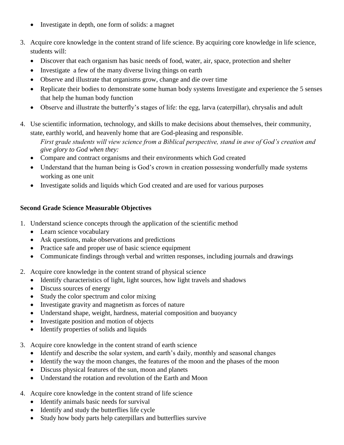- Investigate in depth, one form of solids: a magnet
- 3. Acquire core knowledge in the content strand of life science. By acquiring core knowledge in life science, students will:
	- Discover that each organism has basic needs of food, water, air, space, protection and shelter
	- Investigate a few of the many diverse living things on earth
	- Observe and illustrate that organisms grow, change and die over time
	- Replicate their bodies to demonstrate some human body systems Investigate and experience the 5 senses that help the human body function
	- Observe and illustrate the butterfly's stages of life: the egg, larva (caterpillar), chrysalis and adult
- 4. Use scientific information, technology, and skills to make decisions about themselves, their community, state, earthly world, and heavenly home that are God-pleasing and responsible.

*First grade students will view science from a Biblical perspective, stand in awe of God's creation and give glory to God when they:*

- Compare and contract organisms and their environments which God created
- Understand that the human being is God's crown in creation possessing wonderfully made systems working as one unit
- Investigate solids and liquids which God created and are used for various purposes

### **Second Grade Science Measurable Objectives**

- 1. Understand science concepts through the application of the scientific method
	- Learn science vocabulary
	- Ask questions, make observations and predictions
	- Practice safe and proper use of basic science equipment
	- Communicate findings through verbal and written responses, including journals and drawings
- 2. Acquire core knowledge in the content strand of physical science
	- Identify characteristics of light, light sources, how light travels and shadows
	- Discuss sources of energy
	- Study the color spectrum and color mixing
	- Investigate gravity and magnetism as forces of nature
	- Understand shape, weight, hardness, material composition and buoyancy
	- Investigate position and motion of objects
	- Identify properties of solids and liquids
- 3. Acquire core knowledge in the content strand of earth science
	- Identify and describe the solar system, and earth's daily, monthly and seasonal changes
	- Identify the way the moon changes, the features of the moon and the phases of the moon
	- Discuss physical features of the sun, moon and planets
	- Understand the rotation and revolution of the Earth and Moon
- 4. Acquire core knowledge in the content strand of life science
	- Identify animals basic needs for survival
	- Identify and study the butterflies life cycle
	- Study how body parts help caterpillars and butterflies survive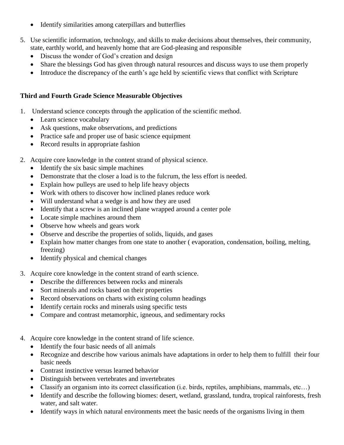- Identify similarities among caterpillars and butterflies
- 5. Use scientific information, technology, and skills to make decisions about themselves, their community, state, earthly world, and heavenly home that are God-pleasing and responsible
	- Discuss the wonder of God's creation and design
	- Share the blessings God has given through natural resources and discuss ways to use them properly
	- Introduce the discrepancy of the earth's age held by scientific views that conflict with Scripture

#### **Third and Fourth Grade Science Measurable Objectives**

- 1. Understand science concepts through the application of the scientific method.
	- Learn science vocabulary
	- Ask questions, make observations, and predictions
	- Practice safe and proper use of basic science equipment
	- Record results in appropriate fashion
- 2. Acquire core knowledge in the content strand of physical science.
	- Identify the six basic simple machines
	- Demonstrate that the closer a load is to the fulcrum, the less effort is needed.
	- Explain how pulleys are used to help life heavy objects
	- Work with others to discover how inclined planes reduce work
	- Will understand what a wedge is and how they are used
	- Identify that a screw is an inclined plane wrapped around a center pole
	- Locate simple machines around them
	- Observe how wheels and gears work
	- Observe and describe the properties of solids, liquids, and gases
	- Explain how matter changes from one state to another ( evaporation, condensation, boiling, melting, freezing)
	- Identify physical and chemical changes
- 3. Acquire core knowledge in the content strand of earth science.
	- Describe the differences between rocks and minerals
	- Sort minerals and rocks based on their properties
	- Record observations on charts with existing column headings
	- Identify certain rocks and minerals using specific tests
	- Compare and contrast metamorphic, igneous, and sedimentary rocks
- 4. Acquire core knowledge in the content strand of life science.
	- Identify the four basic needs of all animals
	- Recognize and describe how various animals have adaptations in order to help them to fulfill their four basic needs
	- Contrast instinctive versus learned behavior
	- Distinguish between vertebrates and invertebrates
	- Classify an organism into its correct classification (i.e. birds, reptiles, amphibians, mammals, etc…)
	- Identify and describe the following biomes: desert, wetland, grassland, tundra, tropical rainforests, fresh water, and salt water.
	- Identify ways in which natural environments meet the basic needs of the organisms living in them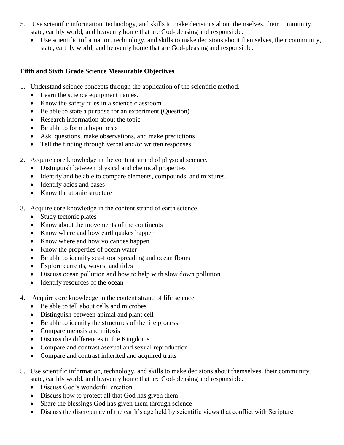- 5. Use scientific information, technology, and skills to make decisions about themselves, their community, state, earthly world, and heavenly home that are God-pleasing and responsible.
	- Use scientific information, technology, and skills to make decisions about themselves, their community, state, earthly world, and heavenly home that are God-pleasing and responsible.

### **Fifth and Sixth Grade Science Measurable Objectives**

- 1. Understand science concepts through the application of the scientific method.
	- Learn the science equipment names.
	- Know the safety rules in a science classroom
	- Be able to state a purpose for an experiment (Question)
	- Research information about the topic
	- Be able to form a hypothesis
	- Ask questions, make observations, and make predictions
	- Tell the finding through verbal and/or written responses
- 2. Acquire core knowledge in the content strand of physical science.
	- Distinguish between physical and chemical properties
	- Identify and be able to compare elements, compounds, and mixtures.
	- Identify acids and bases
	- Know the atomic structure
- 3. Acquire core knowledge in the content strand of earth science.
	- Study tectonic plates
	- Know about the movements of the continents
	- Know where and how earthquakes happen
	- Know where and how volcanoes happen
	- Know the properties of ocean water
	- Be able to identify sea-floor spreading and ocean floors
	- Explore currents, waves, and tides
	- Discuss ocean pollution and how to help with slow down pollution
	- Identify resources of the ocean
- 4. Acquire core knowledge in the content strand of life science.
	- Be able to tell about cells and microbes
	- Distinguish between animal and plant cell
	- Be able to identify the structures of the life process
	- Compare meiosis and mitosis
	- Discuss the differences in the Kingdoms
	- Compare and contrast asexual and sexual reproduction
	- Compare and contrast inherited and acquired traits
- 5. Use scientific information, technology, and skills to make decisions about themselves, their community, state, earthly world, and heavenly home that are God-pleasing and responsible.
	- Discuss God's wonderful creation
	- Discuss how to protect all that God has given them
	- Share the blessings God has given them through science
	- Discuss the discrepancy of the earth's age held by scientific views that conflict with Scripture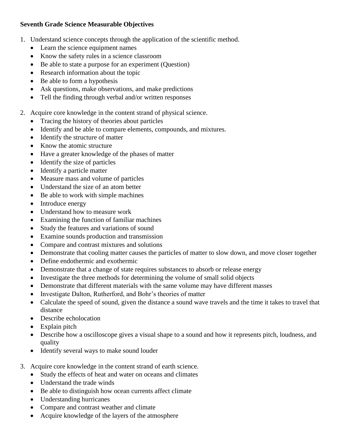### **Seventh Grade Science Measurable Objectives**

- 1. Understand science concepts through the application of the scientific method.
	- Learn the science equipment names
	- Know the safety rules in a science classroom
	- Be able to state a purpose for an experiment (Question)
	- Research information about the topic
	- Be able to form a hypothesis
	- Ask questions, make observations, and make predictions
	- Tell the finding through verbal and/or written responses
- 2. Acquire core knowledge in the content strand of physical science.
	- Tracing the history of theories about particles
	- Identify and be able to compare elements, compounds, and mixtures.
	- Identify the structure of matter
	- Know the atomic structure
	- Have a greater knowledge of the phases of matter
	- Identify the size of particles
	- Identify a particle matter
	- Measure mass and volume of particles
	- Understand the size of an atom better
	- Be able to work with simple machines
	- Introduce energy
	- Understand how to measure work
	- Examining the function of familiar machines
	- Study the features and variations of sound
	- Examine sounds production and transmission
	- Compare and contrast mixtures and solutions
	- Demonstrate that cooling matter causes the particles of matter to slow down, and move closer together
	- Define endothermic and exothermic
	- Demonstrate that a change of state requires substances to absorb or release energy
	- Investigate the three methods for determining the volume of small solid objects
	- Demonstrate that different materials with the same volume may have different masses
	- Investigate Dalton, Rutherford, and Bohr's theories of matter
	- Calculate the speed of sound, given the distance a sound wave travels and the time it takes to travel that distance
	- Describe echolocation
	- Explain pitch
	- Describe how a oscilloscope gives a visual shape to a sound and how it represents pitch, loudness, and quality
	- Identify several ways to make sound louder
- 3. Acquire core knowledge in the content strand of earth science.
	- Study the effects of heat and water on oceans and climates
	- Understand the trade winds
	- Be able to distinguish how ocean currents affect climate
	- Understanding hurricanes
	- Compare and contrast weather and climate
	- Acquire knowledge of the layers of the atmosphere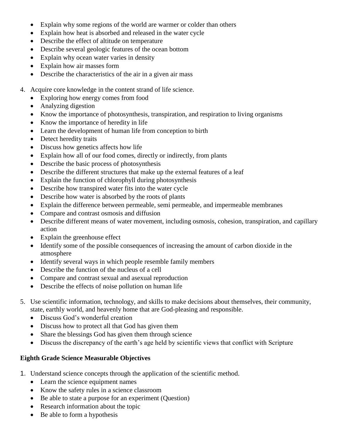- Explain why some regions of the world are warmer or colder than others
- Explain how heat is absorbed and released in the water cycle
- Describe the effect of altitude on temperature
- Describe several geologic features of the ocean bottom
- Explain why ocean water varies in density
- Explain how air masses form
- Describe the characteristics of the air in a given air mass
- 4. Acquire core knowledge in the content strand of life science.
	- Exploring how energy comes from food
	- Analyzing digestion
	- Know the importance of photosynthesis, transpiration, and respiration to living organisms
	- Know the importance of heredity in life
	- Learn the development of human life from conception to birth
	- Detect heredity traits
	- Discuss how genetics affects how life
	- Explain how all of our food comes, directly or indirectly, from plants
	- Describe the basic process of photosynthesis
	- Describe the different structures that make up the external features of a leaf
	- Explain the function of chlorophyll during photosynthesis
	- Describe how transpired water fits into the water cycle
	- Describe how water is absorbed by the roots of plants
	- Explain the difference between permeable, semi permeable, and impermeable membranes
	- Compare and contrast osmosis and diffusion
	- Describe different means of water movement, including osmosis, cohesion, transpiration, and capillary action
	- Explain the greenhouse effect
	- Identify some of the possible consequences of increasing the amount of carbon dioxide in the atmosphere
	- Identify several ways in which people resemble family members
	- Describe the function of the nucleus of a cell
	- Compare and contrast sexual and asexual reproduction
	- Describe the effects of noise pollution on human life
- 5. Use scientific information, technology, and skills to make decisions about themselves, their community, state, earthly world, and heavenly home that are God-pleasing and responsible.
	- Discuss God's wonderful creation
	- Discuss how to protect all that God has given them
	- Share the blessings God has given them through science
	- Discuss the discrepancy of the earth's age held by scientific views that conflict with Scripture

#### **Eighth Grade Science Measurable Objectives**

- 1. Understand science concepts through the application of the scientific method.
	- Learn the science equipment names
	- Know the safety rules in a science classroom
	- Be able to state a purpose for an experiment (Question)
	- Research information about the topic
	- Be able to form a hypothesis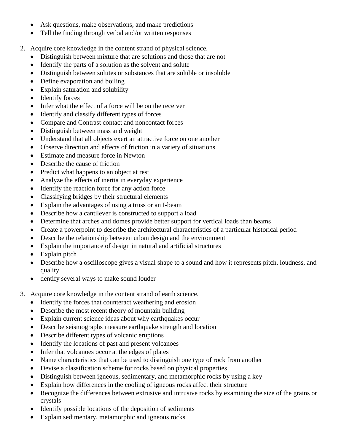- Ask questions, make observations, and make predictions
- Tell the finding through verbal and/or written responses
- 2. Acquire core knowledge in the content strand of physical science.
	- Distinguish between mixture that are solutions and those that are not
	- Identify the parts of a solution as the solvent and solute
	- Distinguish between solutes or substances that are soluble or insoluble
	- Define evaporation and boiling
	- Explain saturation and solubility
	- Identify forces
	- Infer what the effect of a force will be on the receiver
	- Identify and classify different types of forces
	- Compare and Contrast contact and noncontact forces
	- Distinguish between mass and weight
	- Understand that all objects exert an attractive force on one another
	- Observe direction and effects of friction in a variety of situations
	- Estimate and measure force in Newton
	- Describe the cause of friction
	- Predict what happens to an object at rest
	- Analyze the effects of inertia in everyday experience
	- Identify the reaction force for any action force
	- Classifying bridges by their structural elements
	- Explain the advantages of using a truss or an I-beam
	- Describe how a cantilever is constructed to support a load
	- Determine that arches and domes provide better support for vertical loads than beams
	- Create a powerpoint to describe the architectural characteristics of a particular historical period
	- Describe the relationship between urban design and the environment
	- Explain the importance of design in natural and artificial structures
	- Explain pitch
	- Describe how a oscilloscope gives a visual shape to a sound and how it represents pitch, loudness, and quality
	- dentify several ways to make sound louder
- 3. Acquire core knowledge in the content strand of earth science.
	- Identify the forces that counteract weathering and erosion
	- Describe the most recent theory of mountain building
	- Explain current science ideas about why earthquakes occur
	- Describe seismographs measure earthquake strength and location
	- Describe different types of volcanic eruptions
	- Identify the locations of past and present volcanoes
	- Infer that volcanoes occur at the edges of plates
	- Name characteristics that can be used to distinguish one type of rock from another
	- Devise a classification scheme for rocks based on physical properties
	- Distinguish between igneous, sedimentary, and metamorphic rocks by using a key
	- Explain how differences in the cooling of igneous rocks affect their structure
	- Recognize the differences between extrusive and intrusive rocks by examining the size of the grains or crystals
	- Identify possible locations of the deposition of sediments
	- Explain sedimentary, metamorphic and igneous rocks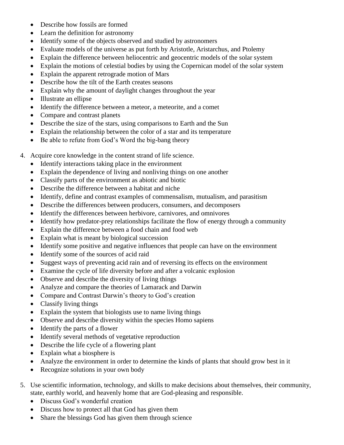- Describe how fossils are formed
- Learn the definition for astronomy
- Identify some of the objects observed and studied by astronomers
- Evaluate models of the universe as put forth by Aristotle, Aristarchus, and Ptolemy
- Explain the difference between heliocentric and geocentric models of the solar system
- Explain the motions of celestial bodies by using the Copernican model of the solar system
- Explain the apparent retrograde motion of Mars
- Describe how the tilt of the Earth creates seasons
- Explain why the amount of daylight changes throughout the year
- Illustrate an ellipse
- Identify the difference between a meteor, a meteorite, and a comet
- Compare and contrast planets
- Describe the size of the stars, using comparisons to Earth and the Sun
- Explain the relationship between the color of a star and its temperature
- Be able to refute from God's Word the big-bang theory
- 4. Acquire core knowledge in the content strand of life science.
	- Identify interactions taking place in the environment
	- Explain the dependence of living and nonliving things on one another
	- Classify parts of the environment as abiotic and biotic
	- Describe the difference between a habitat and niche
	- Identify, define and contrast examples of commensalism, mutualism, and parasitism
	- Describe the differences between producers, consumers, and decomposers
	- Identify the differences between herbivore, carnivores, and omnivores
	- Identify how predator-prey relationships facilitate the flow of energy through a community
	- Explain the difference between a food chain and food web
	- Explain what is meant by biological succession
	- Identify some positive and negative influences that people can have on the environment
	- Identify some of the sources of acid raid
	- Suggest ways of preventing acid rain and of reversing its effects on the environment
	- Examine the cycle of life diversity before and after a volcanic explosion
	- Observe and describe the diversity of living things
	- Analyze and compare the theories of Lamarack and Darwin
	- Compare and Contrast Darwin's theory to God's creation
	- Classify living things
	- Explain the system that biologists use to name living things
	- Observe and describe diversity within the species Homo sapiens
	- Identify the parts of a flower
	- Identify several methods of vegetative reproduction
	- Describe the life cycle of a flowering plant
	- Explain what a biosphere is
	- Analyze the environment in order to determine the kinds of plants that should grow best in it
	- Recognize solutions in your own body
- 5. Use scientific information, technology, and skills to make decisions about themselves, their community, state, earthly world, and heavenly home that are God-pleasing and responsible.
	- Discuss God's wonderful creation
	- Discuss how to protect all that God has given them
	- Share the blessings God has given them through science